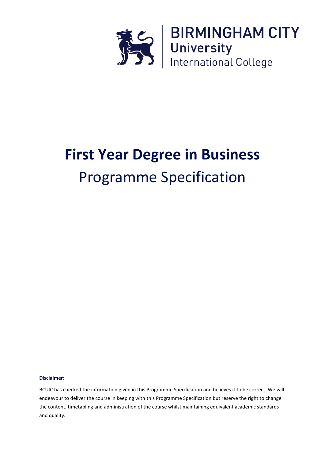

# **First Year Degree in Business** Programme Specification

**Disclaimer:**

BCUIC has checked the information given in this Programme Specification and believes it to be correct. We will endeavour to deliver the course in keeping with this Programme Specification but reserve the right to change the content, timetabling and administration of the course whilst maintaining equivalent academic standards and quality.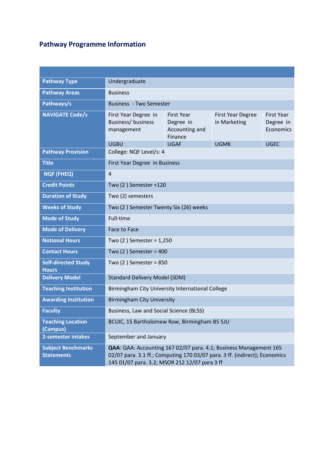## **Pathway Programme Information**

| <b>Pathway Type</b>                            | Undergraduate                                                                                                                                                                                    |                                                      |                                             |             |  |  |
|------------------------------------------------|--------------------------------------------------------------------------------------------------------------------------------------------------------------------------------------------------|------------------------------------------------------|---------------------------------------------|-------------|--|--|
| <b>Pathway Areas</b>                           | <b>Business</b>                                                                                                                                                                                  |                                                      |                                             |             |  |  |
| Pathways/s                                     | <b>Business - Two Semester</b>                                                                                                                                                                   |                                                      |                                             |             |  |  |
| <b>NAVIGATE Code/s</b>                         | First Year Degree in<br>Business/ business<br>management                                                                                                                                         | First Year<br>Degree in<br>Accounting and<br>Finance | <b>First Year</b><br>Degree in<br>Economics |             |  |  |
|                                                | <b>UGBU</b>                                                                                                                                                                                      | <b>UGAF</b>                                          | <b>UGMK</b>                                 | <b>UGEC</b> |  |  |
| <b>Pathway Provision</b>                       | College: NQF Level/s: 4                                                                                                                                                                          |                                                      |                                             |             |  |  |
| <b>Title</b>                                   | First Year Degree in Business                                                                                                                                                                    |                                                      |                                             |             |  |  |
| <b>NQF (FHEQ)</b>                              | 4                                                                                                                                                                                                |                                                      |                                             |             |  |  |
| <b>Credit Points</b>                           | Two $(2)$ Semester = 120                                                                                                                                                                         |                                                      |                                             |             |  |  |
| <b>Duration of Study</b>                       | Two (2) semesters                                                                                                                                                                                |                                                      |                                             |             |  |  |
| <b>Weeks of Study</b>                          | Two (2) Semester Twenty Six (26) weeks                                                                                                                                                           |                                                      |                                             |             |  |  |
| <b>Mode of Study</b>                           | Full-time                                                                                                                                                                                        |                                                      |                                             |             |  |  |
| <b>Mode of Delivery</b>                        | Face to Face                                                                                                                                                                                     |                                                      |                                             |             |  |  |
| <b>Notional Hours</b>                          | Two $(2)$ Semester = 1,250                                                                                                                                                                       |                                                      |                                             |             |  |  |
| <b>Contact Hours</b>                           | Two $(2)$ Semester = 400                                                                                                                                                                         |                                                      |                                             |             |  |  |
| <b>Self-directed Study</b><br><b>Hours</b>     | Two $(2)$ Semester = 850                                                                                                                                                                         |                                                      |                                             |             |  |  |
| <b>Delivery Model</b>                          | <b>Standard Delivery Model (SDM)</b>                                                                                                                                                             |                                                      |                                             |             |  |  |
| <b>Teaching Institution</b>                    | Birmingham City University International College                                                                                                                                                 |                                                      |                                             |             |  |  |
| <b>Awarding Institution</b>                    | <b>Birmingham City University</b>                                                                                                                                                                |                                                      |                                             |             |  |  |
| <b>Faculty</b>                                 | Business, Law and Social Science (BLSS)                                                                                                                                                          |                                                      |                                             |             |  |  |
| <b>Teaching Location</b><br>(Campus)           | BCUIC, 15 Bartholomew Row, Birmingham B5 5JU                                                                                                                                                     |                                                      |                                             |             |  |  |
| 2-semester intakes                             | September and January                                                                                                                                                                            |                                                      |                                             |             |  |  |
| <b>Subject Benchmarks</b><br><b>Statements</b> | QAA: QAA: Accounting 167 02/07 para. 4.1; Business Management 165<br>02/07 para. 3.1 ff.; Computing 170 03/07 para. 3 ff. (indirect); Economics<br>145 01/07 para. 3.2; MSOR 212 12/07 para 3 ff |                                                      |                                             |             |  |  |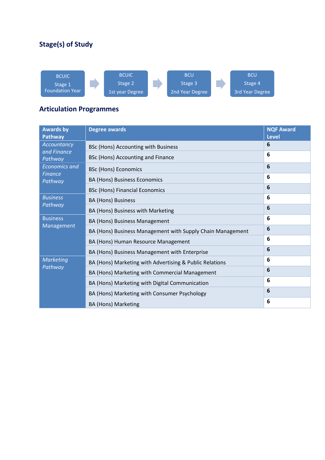### **Stage(s) of Study**



### **Articulation Programmes**

| <b>Awards</b> by<br><b>Pathway</b> | <b>Degree awards</b>                                       | <b>NQF Award</b><br><b>Level</b> |
|------------------------------------|------------------------------------------------------------|----------------------------------|
| Accountancy                        | BSc (Hons) Accounting with Business                        | 6                                |
| and Finance<br>Pathway             | <b>BSc (Hons) Accounting and Finance</b>                   | 6                                |
| <b>Economics and</b>               | <b>BSc (Hons) Economics</b>                                | 6                                |
| <b>Finance</b><br>Pathway          | <b>BA (Hons) Business Economics</b>                        | 6                                |
|                                    | <b>BSc (Hons) Financial Economics</b>                      | 6                                |
| <b>Business</b>                    | <b>BA (Hons) Business</b>                                  | 6                                |
| Pathway                            | BA (Hons) Business with Marketing                          | 6                                |
| <b>Business</b>                    | BA (Hons) Business Management                              | 6                                |
| Management                         | BA (Hons) Business Management with Supply Chain Management | 6                                |
|                                    | BA (Hons) Human Resource Management                        | 6                                |
|                                    | BA (Hons) Business Management with Enterprise              | 6                                |
| <b>Marketing</b>                   | BA (Hons) Marketing with Advertising & Public Relations    | 6                                |
| Pathway                            | BA (Hons) Marketing with Commercial Management             | 6                                |
|                                    | BA (Hons) Marketing with Digital Communication             | 6                                |
|                                    | BA (Hons) Marketing with Consumer Psychology               | 6                                |
|                                    | <b>BA (Hons) Marketing</b>                                 | 6                                |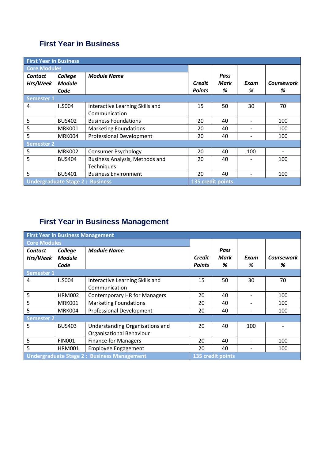### **First Year in Business**

| <b>First Year in Business</b>          |               |                                       |               |      |      |                   |
|----------------------------------------|---------------|---------------------------------------|---------------|------|------|-------------------|
| <b>Core Modules</b>                    |               |                                       |               |      |      |                   |
| Contact                                | College       | <b>Module Name</b>                    |               | Pass |      |                   |
| Hrs/Week                               | <b>Module</b> |                                       | <b>Credit</b> | Mark | Exam | <b>Coursework</b> |
|                                        | Code          |                                       | <b>Points</b> | %    | %    | %                 |
| <b>Semester 1</b>                      |               |                                       |               |      |      |                   |
| 4                                      | <b>ILS004</b> | Interactive Learning Skills and       | 15            | 50   | 30   | 70                |
|                                        |               | Communication                         |               |      |      |                   |
| 5                                      | <b>BUS402</b> | <b>Business Foundations</b>           | 20            | 40   |      | 100               |
| 5                                      | MRK001        | <b>Marketing Foundations</b>          | 20            | 40   |      | 100               |
| 5                                      | MRK004        | <b>Professional Development</b>       | 20            | 40   |      | 100               |
| <b>Semester 2</b>                      |               |                                       |               |      |      |                   |
| 5                                      | <b>MRK002</b> | <b>Consumer Psychology</b>            | 20            | 40   | 100  |                   |
| 5                                      | <b>BUS404</b> | <b>Business Analysis, Methods and</b> | 20            | 40   |      | 100               |
|                                        |               | Techniques                            |               |      |      |                   |
| 5                                      | <b>BUS401</b> | <b>Business Environment</b>           | 20            | 40   |      | 100               |
| <b>Undergraduate Stage 2: Business</b> |               | 135 credit points                     |               |      |      |                   |

# **First Year in Business Management**

| <b>First Year in Business Management</b>          |               |                                     |               |                   |      |                   |
|---------------------------------------------------|---------------|-------------------------------------|---------------|-------------------|------|-------------------|
| <b>Core Modules</b>                               |               |                                     |               |                   |      |                   |
| <b>Contact</b>                                    | College       | <b>Module Name</b>                  |               | Pass              |      |                   |
| Hrs/Week                                          | <b>Module</b> |                                     | Credit        | Mark              | Exam | <b>Coursework</b> |
|                                                   | Code          |                                     | <b>Points</b> | %                 | %    | %                 |
| <b>Semester 1</b>                                 |               |                                     |               |                   |      |                   |
| 4                                                 | <b>ILS004</b> | Interactive Learning Skills and     | 15            | 50                | 30   | 70                |
|                                                   |               | Communication                       |               |                   |      |                   |
| 5                                                 | <b>HRM002</b> | <b>Contemporary HR for Managers</b> | 20            | 40                |      | 100               |
| 5                                                 | MRK001        | <b>Marketing Foundations</b>        | 20            | 40                |      | 100               |
| 5                                                 | MRK004        | <b>Professional Development</b>     | 20            | 40                |      | 100               |
| <b>Semester 2</b>                                 |               |                                     |               |                   |      |                   |
| 5                                                 | <b>BUS403</b> | Understanding Organisations and     | 20            | 40                | 100  |                   |
|                                                   |               | <b>Organisational Behaviour</b>     |               |                   |      |                   |
| 5                                                 | <b>FIN001</b> | <b>Finance for Managers</b>         | 20            | 40                |      | 100               |
| 5                                                 | <b>HRM001</b> | <b>Employee Engagement</b>          | 20            | 40                |      | 100               |
| <b>Undergraduate Stage 2: Business Management</b> |               |                                     |               | 135 credit points |      |                   |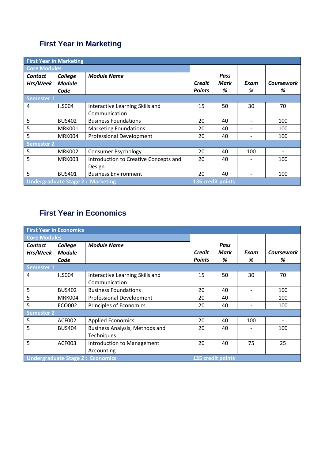## **First Year in Marketing**

| <b>First Year in Marketing</b>          |               |                                       |               |                   |      |                   |
|-----------------------------------------|---------------|---------------------------------------|---------------|-------------------|------|-------------------|
| <b>Core Modules</b>                     |               |                                       |               |                   |      |                   |
| Contact                                 | College       | <b>Module Name</b>                    |               | Pass              |      |                   |
| Hrs/Week                                | <b>Module</b> |                                       | Credit        | Mark              | Exam | <b>Coursework</b> |
|                                         | Code          |                                       | <b>Points</b> | %                 | %    | %                 |
| <b>Semester 1</b>                       |               |                                       |               |                   |      |                   |
| 4                                       | <b>ILS004</b> | Interactive Learning Skills and       | 15            | 50                | 30   | 70                |
|                                         |               | Communication                         |               |                   |      |                   |
| 5                                       | <b>BUS402</b> | <b>Business Foundations</b>           | 20            | 40                |      | 100               |
| 5                                       | MRK001        | <b>Marketing Foundations</b>          | 20            | 40                |      | 100               |
| 5                                       | MRK004        | <b>Professional Development</b>       | 20            | 40                |      | 100               |
| <b>Semester 2</b>                       |               |                                       |               |                   |      |                   |
| 5                                       | <b>MRK002</b> | <b>Consumer Psychology</b>            | 20            | 40                | 100  |                   |
| 5                                       | MRK003        | Introduction to Creative Concepts and | 20            | 40                |      | 100               |
|                                         |               | Design                                |               |                   |      |                   |
| 5                                       | <b>BUS401</b> | <b>Business Environment</b>           | 20            | 40                |      | 100               |
| <b>Undergraduate Stage 2: Marketing</b> |               |                                       |               | 135 credit points |      |                   |

## **First Year in Economics**

| <b>First Year in Economics</b> |                                                              |                                 |               |      |      |            |
|--------------------------------|--------------------------------------------------------------|---------------------------------|---------------|------|------|------------|
| <b>Core Modules</b>            |                                                              |                                 |               |      |      |            |
| <b>Contact</b>                 | College                                                      | <b>Module Name</b>              |               | Pass |      |            |
| Hrs/Week                       | <b>Module</b>                                                |                                 | <b>Credit</b> | Mark | Exam | Coursework |
|                                | Code                                                         |                                 | <b>Points</b> | %    | %    | %          |
| <b>Semester 1</b>              |                                                              |                                 |               |      |      |            |
| 4                              | <b>ILS004</b>                                                | Interactive Learning Skills and | 15            | 50   | 30   | 70         |
|                                |                                                              | Communication                   |               |      |      |            |
| 5                              | <b>BUS402</b>                                                | <b>Business Foundations</b>     | 20            | 40   |      | 100        |
| 5                              | MRK004                                                       | Professional Development        | 20            | 40   |      | 100        |
| 5                              | ECO002                                                       | Principles of Economics         | 20            | 40   |      | 100        |
| <b>Semester 2</b>              |                                                              |                                 |               |      |      |            |
| 5                              | ACF002                                                       | <b>Applied Economics</b>        | 20            | 40   | 100  |            |
| 5                              | <b>BUS404</b>                                                | Business Analysis, Methods and  | 20            | 40   |      | 100        |
|                                |                                                              | Techniques                      |               |      |      |            |
| 5                              | ACF003                                                       | Introduction to Management      | 20            | 40   | 75   | 25         |
|                                |                                                              | Accounting                      |               |      |      |            |
|                                | <b>Undergraduate Stage 2: Economics</b><br>135 credit points |                                 |               |      |      |            |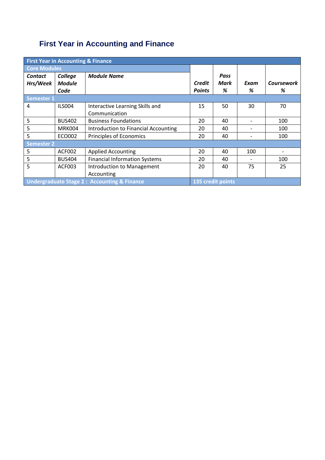# **First Year in Accounting and Finance**

| <b>First Year in Accounting &amp; Finance</b> |                                                                             |                                      |               |      |      |                   |
|-----------------------------------------------|-----------------------------------------------------------------------------|--------------------------------------|---------------|------|------|-------------------|
| <b>Core Modules</b>                           |                                                                             |                                      |               |      |      |                   |
| Contact                                       | College                                                                     | <b>Module Name</b>                   |               | Pass |      |                   |
| Hrs/Week                                      | <b>Module</b>                                                               |                                      | <b>Credit</b> | Mark | Exam | <b>Coursework</b> |
|                                               | Code                                                                        |                                      | <b>Points</b> | %    | %    | %                 |
| <b>Semester 1</b>                             |                                                                             |                                      |               |      |      |                   |
| 4                                             | <b>ILS004</b>                                                               | Interactive Learning Skills and      | 15            | 50   | 30   | 70                |
|                                               |                                                                             | Communication                        |               |      |      |                   |
| 5                                             | <b>BUS402</b>                                                               | <b>Business Foundations</b>          | 20            | 40   |      | 100               |
| 5                                             | MRK004                                                                      | Introduction to Financial Accounting | 20            | 40   |      | 100               |
| 5                                             | ECO002                                                                      | <b>Principles of Economics</b>       | 20            | 40   |      | 100               |
| <b>Semester 2</b>                             |                                                                             |                                      |               |      |      |                   |
| 5                                             | ACF002                                                                      | <b>Applied Accounting</b>            | 20            | 40   | 100  |                   |
| 5                                             | <b>BUS404</b>                                                               | <b>Financial Information Systems</b> | 20            | 40   |      | 100               |
| 5                                             | ACF003                                                                      | Introduction to Management           | 20            | 40   | 75   | 25                |
|                                               |                                                                             | Accounting                           |               |      |      |                   |
|                                               | <b>Undergraduate Stage 2: Accounting &amp; Finance</b><br>135 credit points |                                      |               |      |      |                   |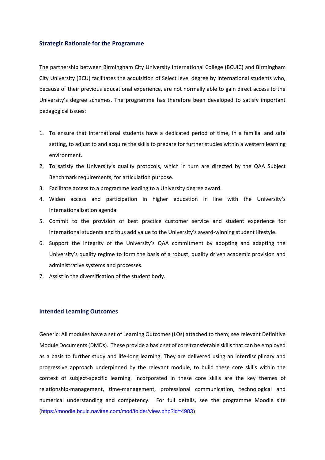#### **Strategic Rationale for the Programme**

The partnership between Birmingham City University International College (BCUIC) and Birmingham City University (BCU) facilitates the acquisition of Select level degree by international students who, because of their previous educational experience, are not normally able to gain direct access to the University's degree schemes. The programme has therefore been developed to satisfy important pedagogical issues:

- 1. To ensure that international students have a dedicated period of time, in a familial and safe setting, to adjust to and acquire the skills to prepare for further studies within a western learning environment.
- 2. To satisfy the University's quality protocols, which in turn are directed by the QAA Subject Benchmark requirements, for articulation purpose.
- 3. Facilitate access to a programme leading to a University degree award.
- 4. Widen access and participation in higher education in line with the University's internationalisation agenda.
- 5. Commit to the provision of best practice customer service and student experience for international students and thus add value to the University's award-winning student lifestyle.
- 6. Support the integrity of the University's QAA commitment by adopting and adapting the University's quality regime to form the basis of a robust, quality driven academic provision and administrative systems and processes.
- 7. Assist in the diversification of the student body.

#### **Intended Learning Outcomes**

Generic: All modules have a set of Learning Outcomes (LOs) attached to them; see relevant Definitive Module Documents (DMDs). These provide a basic set of core transferable skills that can be employed as a basis to further study and life-long learning. They are delivered using an interdisciplinary and progressive approach underpinned by the relevant module, to build these core skills within the context of subject-specific learning. Incorporated in these core skills are the key themes of relationship-management, time-management, professional communication, technological and numerical understanding and competency. For full details, see the programme Moodle site ([https://moodle.bcuic.navitas.com/mod/folder/view.php?id=4983\)](https://moodle.bcuic.navitas.com/mod/folder/view.php?id=4983)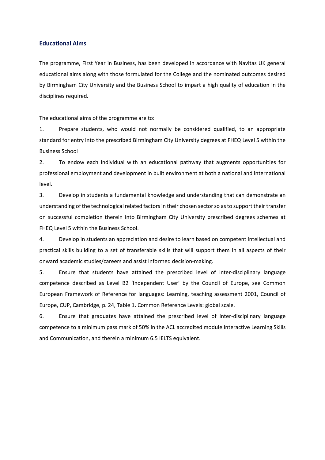### **Educational Aims**

The programme, First Year in Business, has been developed in accordance with Navitas UK general educational aims along with those formulated for the College and the nominated outcomes desired by Birmingham City University and the Business School to impart a high quality of education in the disciplines required.

The educational aims of the programme are to:

1. Prepare students, who would not normally be considered qualified, to an appropriate standard for entry into the prescribed Birmingham City University degrees at FHEQ Level 5 within the Business School

2. To endow each individual with an educational pathway that augments opportunities for professional employment and development in built environment at both a national and international level.

3. Develop in students a fundamental knowledge and understanding that can demonstrate an understanding of the technological related factors in their chosen sector so as to support their transfer on successful completion therein into Birmingham City University prescribed degrees schemes at FHEQ Level 5 within the Business School.

4. Develop in students an appreciation and desire to learn based on competent intellectual and practical skills building to a set of transferable skills that will support them in all aspects of their onward academic studies/careers and assist informed decision-making.

5. Ensure that students have attained the prescribed level of inter-disciplinary language competence described as Level B2 'Independent User' by the Council of Europe, see Common European Framework of Reference for languages: Learning, teaching assessment 2001, Council of Europe, CUP, Cambridge, p. 24, Table 1. Common Reference Levels: global scale.

6. Ensure that graduates have attained the prescribed level of inter-disciplinary language competence to a minimum pass mark of 50% in the ACL accredited module Interactive Learning Skills and Communication, and therein a minimum 6.5 IELTS equivalent.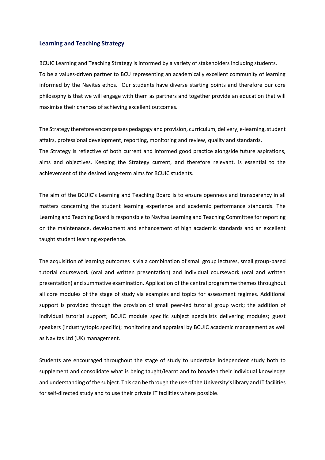#### **Learning and Teaching Strategy**

BCUIC Learning and Teaching Strategy is informed by a variety of stakeholders including students. To be a values-driven partner to BCU representing an academically excellent community of learning informed by the Navitas ethos. Our students have diverse starting points and therefore our core philosophy is that we will engage with them as partners and together provide an education that will maximise their chances of achieving excellent outcomes.

The Strategy therefore encompasses pedagogy and provision, curriculum, delivery, e-learning, student affairs, professional development, reporting, monitoring and review, quality and standards. The Strategy is reflective of both current and informed good practice alongside future aspirations, aims and objectives. Keeping the Strategy current, and therefore relevant, is essential to the achievement of the desired long-term aims for BCUIC students.

The aim of the BCUIC's Learning and Teaching Board is to ensure openness and transparency in all matters concerning the student learning experience and academic performance standards. The Learning and Teaching Board is responsible to Navitas Learning and Teaching Committee for reporting on the maintenance, development and enhancement of high academic standards and an excellent taught student learning experience.

The acquisition of learning outcomes is via a combination of small group lectures, small group-based tutorial coursework (oral and written presentation) and individual coursework (oral and written presentation) and summative examination. Application of the central programme themes throughout all core modules of the stage of study via examples and topics for assessment regimes. Additional support is provided through the provision of small peer-led tutorial group work; the addition of individual tutorial support; BCUIC module specific subject specialists delivering modules; guest speakers (industry/topic specific); monitoring and appraisal by BCUIC academic management as well as Navitas Ltd (UK) management.

Students are encouraged throughout the stage of study to undertake independent study both to supplement and consolidate what is being taught/learnt and to broaden their individual knowledge and understanding of the subject. This can be through the use of the University's library and IT facilities for self-directed study and to use their private IT facilities where possible.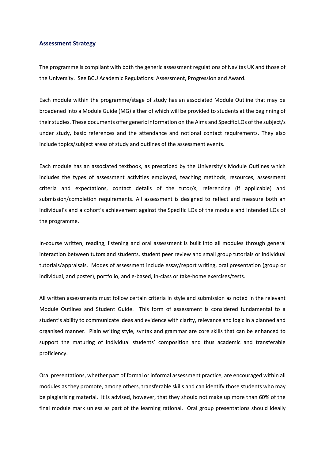### **Assessment Strategy**

The programme is compliant with both the generic assessment regulations of Navitas UK and those of the University. See BCU Academic Regulations: Assessment, Progression and Award.

Each module within the programme/stage of study has an associated Module Outline that may be broadened into a Module Guide (MG) either of which will be provided to students at the beginning of their studies. These documents offer generic information on the Aims and Specific LOs of the subject/s under study, basic references and the attendance and notional contact requirements. They also include topics/subject areas of study and outlines of the assessment events.

Each module has an associated textbook, as prescribed by the University's Module Outlines which includes the types of assessment activities employed, teaching methods, resources, assessment criteria and expectations, contact details of the tutor/s, referencing (if applicable) and submission/completion requirements. All assessment is designed to reflect and measure both an individual's and a cohort's achievement against the Specific LOs of the module and Intended LOs of the programme.

In-course written, reading, listening and oral assessment is built into all modules through general interaction between tutors and students, student peer review and small group tutorials or individual tutorials/appraisals. Modes of assessment include essay/report writing, oral presentation (group or individual, and poster), portfolio, and e-based, in-class or take-home exercises/tests.

All written assessments must follow certain criteria in style and submission as noted in the relevant Module Outlines and Student Guide. This form of assessment is considered fundamental to a student's ability to communicate ideas and evidence with clarity, relevance and logic in a planned and organised manner. Plain writing style, syntax and grammar are core skills that can be enhanced to support the maturing of individual students' composition and thus academic and transferable proficiency.

Oral presentations, whether part of formal or informal assessment practice, are encouraged within all modules as they promote, among others, transferable skills and can identify those students who may be plagiarising material. It is advised, however, that they should not make up more than 60% of the final module mark unless as part of the learning rational. Oral group presentations should ideally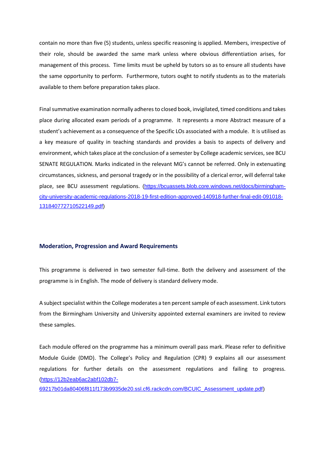contain no more than five (5) students, unless specific reasoning is applied. Members, irrespective of their role, should be awarded the same mark unless where obvious differentiation arises, for management of this process. Time limits must be upheld by tutors so as to ensure all students have the same opportunity to perform. Furthermore, tutors ought to notify students as to the materials available to them before preparation takes place.

Final summative examination normally adheres to closed book, invigilated, timed conditions and takes place during allocated exam periods of a programme. It represents a more Abstract measure of a student's achievement as a consequence of the Specific LOs associated with a module. It is utilised as a key measure of quality in teaching standards and provides a basis to aspects of delivery and environment, which takes place at the conclusion of a semester by College academic services, see BCU SENATE REGULATION. Marks indicated in the relevant MG's cannot be referred. Only in extenuating circumstances, sickness, and personal tragedy or in the possibility of a clerical error, will deferral take place, see BCU assessment regulations. [\(https://bcuassets.blob.core.windows.net/docs/birmingham](https://bcuassets.blob.core.windows.net/docs/birmingham-city-university-academic-regulations-2018-19-first-edition-approved-140918-further-final-edit-091018-131840772710522149.pdf)[city-university-academic-regulations-2018-19-first-edition-approved-140918-further-final-edit-091018-](https://bcuassets.blob.core.windows.net/docs/birmingham-city-university-academic-regulations-2018-19-first-edition-approved-140918-further-final-edit-091018-131840772710522149.pdf) [131840772710522149.pdf\)](https://bcuassets.blob.core.windows.net/docs/birmingham-city-university-academic-regulations-2018-19-first-edition-approved-140918-further-final-edit-091018-131840772710522149.pdf)

#### **Moderation, Progression and Award Requirements**

This programme is delivered in two semester full-time. Both the delivery and assessment of the programme is in English. The mode of delivery is standard delivery mode.

A subject specialist within the College moderates a ten percent sample of each assessment. Link tutors from the Birmingham University and University appointed external examiners are invited to review these samples.

Each module offered on the programme has a minimum overall pass mark. Please refer to definitive Module Guide (DMD). The College's Policy and Regulation (CPR) 9 explains all our assessment regulations for further details on the assessment regulations and failing to progress. [\(https://12b2eab6ac2abf102db7-](https://12b2eab6ac2abf102db7-69217b01da80406f811f173b9935de20.ssl.cf6.rackcdn.com/BCUIC_Assessment_update.pdf)

[69217b01da80406f811f173b9935de20.ssl.cf6.rackcdn.com/BCUIC\\_Assessment\\_update.pdf\)](https://12b2eab6ac2abf102db7-69217b01da80406f811f173b9935de20.ssl.cf6.rackcdn.com/BCUIC_Assessment_update.pdf)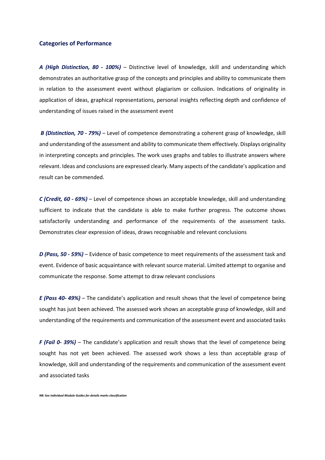#### **Categories of Performance**

*A (High Distinction, 80 - 100%)* – Distinctive level of knowledge, skill and understanding which demonstrates an authoritative grasp of the concepts and principles and ability to communicate them in relation to the assessment event without plagiarism or collusion. Indications of originality in application of ideas, graphical representations, personal insights reflecting depth and confidence of understanding of issues raised in the assessment event

*B (Distinction, 70 - 79%)* – Level of competence demonstrating a coherent grasp of knowledge, skill and understanding of the assessment and ability to communicate them effectively. Displays originality in interpreting concepts and principles. The work uses graphs and tables to illustrate answers where relevant. Ideas and conclusions are expressed clearly. Many aspects of the candidate's application and result can be commended.

*C (Credit, 60 - 69%)* – Level of competence shows an acceptable knowledge, skill and understanding sufficient to indicate that the candidate is able to make further progress. The outcome shows satisfactorily understanding and performance of the requirements of the assessment tasks. Demonstrates clear expression of ideas, draws recognisable and relevant conclusions

*D (Pass, 50 - 59%)* – Evidence of basic competence to meet requirements of the assessment task and event. Evidence of basic acquaintance with relevant source material. Limited attempt to organise and communicate the response. Some attempt to draw relevant conclusions

*E (Pass 40- 49%)* – The candidate's application and result shows that the level of competence being sought has just been achieved. The assessed work shows an acceptable grasp of knowledge, skill and understanding of the requirements and communication of the assessment event and associated tasks

*F (Fail 0- 39%)* – The candidate's application and result shows that the level of competence being sought has not yet been achieved. The assessed work shows a less than acceptable grasp of knowledge, skill and understanding of the requirements and communication of the assessment event and associated tasks

*NB: See individual Module Guides for details marks classification*